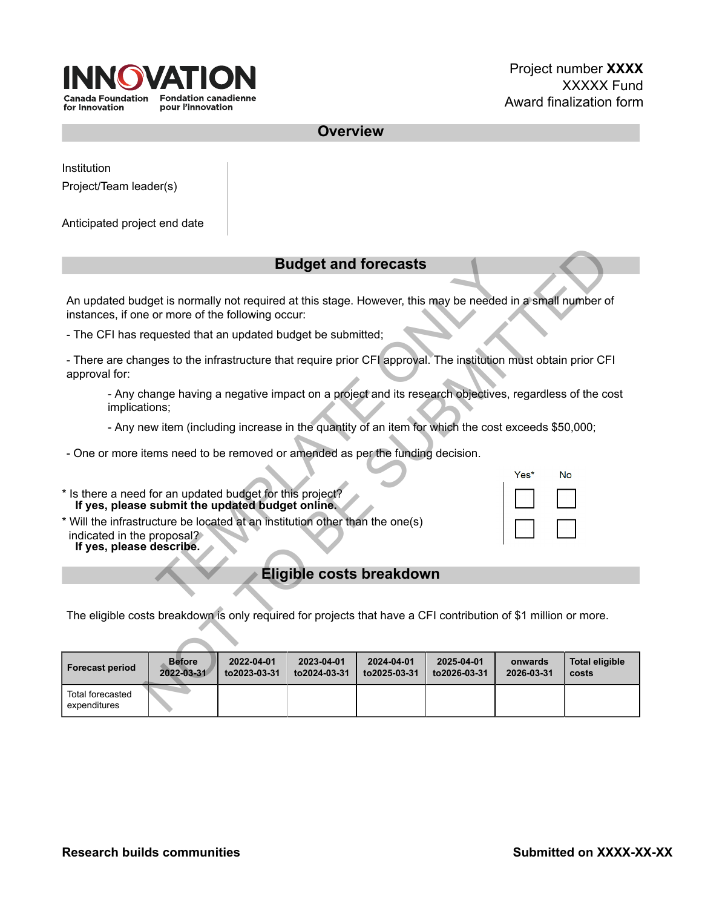

**Overview**

Institution

Project/Team leader(s)

Anticipated project end date

## **Budget and forecasts**

| <b>Budget and forecasts</b>                                                                                                                   |  |
|-----------------------------------------------------------------------------------------------------------------------------------------------|--|
|                                                                                                                                               |  |
| An updated budget is normally not required at this stage. However, this may be needed in<br>instances, if one or more of the following occur: |  |
| - The CFI has requested that an updated budget be submitted;                                                                                  |  |
| - There are changes to the infrastructure that require prior CFI approval. The institution m<br>approval for:                                 |  |
| - Any change having a negative impact on a project and its research objectives, re<br>implications;                                           |  |
| - Any new item (including increase in the quantity of an item for which the cost ex-                                                          |  |
| - One or more items need to be removed or amended as per the funding decision.                                                                |  |
| * Is there a need for an updated budget for this project?<br>If yes, please submit the updated budget online.                                 |  |
| * Will the infrastructure be located at an institution other than the one(s)<br>indicated in the proposal?<br>If yes, please describe.        |  |
| Eligible costs breakdown                                                                                                                      |  |
|                                                                                                                                               |  |

|  | indicated in the proposal? |  |
|--|----------------------------|--|
|  | If yes, please describe.   |  |

## **Eligible costs breakdown**

| <b>Budget and forecasts</b>                                                                                                                                                                                                              |  |  |  |  |  |
|------------------------------------------------------------------------------------------------------------------------------------------------------------------------------------------------------------------------------------------|--|--|--|--|--|
|                                                                                                                                                                                                                                          |  |  |  |  |  |
| An updated budget is normally not required at this stage. However, this may be needed in a small number of<br>instances, if one or more of the following occur:                                                                          |  |  |  |  |  |
| - The CFI has requested that an updated budget be submitted;                                                                                                                                                                             |  |  |  |  |  |
| - There are changes to the infrastructure that require prior CFI approval. The institution must obtain prior CFI<br>approval for:                                                                                                        |  |  |  |  |  |
| - Any change having a negative impact on a project and its research objectives, regardless of the cost<br>implications;                                                                                                                  |  |  |  |  |  |
| - Any new item (including increase in the quantity of an item for which the cost exceeds \$50,000;                                                                                                                                       |  |  |  |  |  |
| - One or more items need to be removed or amended as per the funding decision.                                                                                                                                                           |  |  |  |  |  |
| Yes*<br><b>No</b>                                                                                                                                                                                                                        |  |  |  |  |  |
| * Is there a need for an updated budget for this project?<br>If yes, please submit the updated budget online.                                                                                                                            |  |  |  |  |  |
| * Will the infrastructure be located at an institution other than the one(s)<br>indicated in the proposal?                                                                                                                               |  |  |  |  |  |
| If yes, please describe.                                                                                                                                                                                                                 |  |  |  |  |  |
| Eligible costs breakdown                                                                                                                                                                                                                 |  |  |  |  |  |
|                                                                                                                                                                                                                                          |  |  |  |  |  |
| The eligible costs breakdown is only required for projects that have a CFI contribution of \$1 million or more.                                                                                                                          |  |  |  |  |  |
|                                                                                                                                                                                                                                          |  |  |  |  |  |
| 2022-04-01<br><b>Before</b><br>2023-04-01<br>2024-04-01<br>2025-04-01<br><b>Total eligible</b><br>onwards<br><b>Forecast period</b><br>2022-03-31<br>to2023-03-31<br>to2024-03-31<br>to2025-03-31<br>to2026-03-31<br>2026-03-31<br>costs |  |  |  |  |  |
| Total forecasted<br>expenditures                                                                                                                                                                                                         |  |  |  |  |  |

| Yes* | No |
|------|----|
|      |    |
|      |    |